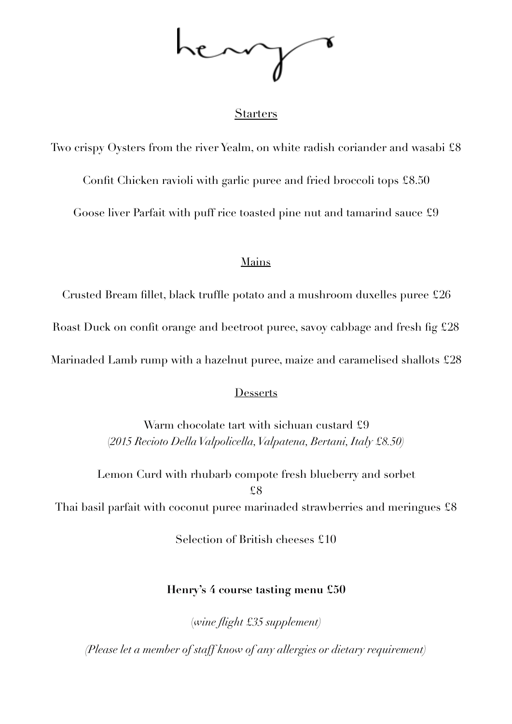## **Starters**

Two crispy Oysters from the river Yealm, on white radish coriander and wasabi £8 Confit Chicken ravioli with garlic puree and fried broccoli tops £8.50 Goose liver Parfait with puff rice toasted pine nut and tamarind sauce £9

### Mains

Crusted Bream fillet, black truffle potato and a mushroom duxelles puree £26

Roast Duck on confit orange and beetroot puree, savoy cabbage and fresh fig £28

Marinaded Lamb rump with a hazelnut puree, maize and caramelised shallots £28

### **Desserts**

Warm chocolate tart with sichuan custard £9 (*2015 Recioto Della Valpolicella, Valpatena, Bertani, Italy £8.50)*

Lemon Curd with rhubarb compote fresh blueberry and sorbet £8 Thai basil parfait with coconut puree marinaded strawberries and meringues £8

Selection of British cheeses £10

## **Henry's 4 course tasting menu £50**

(*wine flight £35 supplement)* 

*(Please let a member of staff know of any allergies or dietary requirement)*